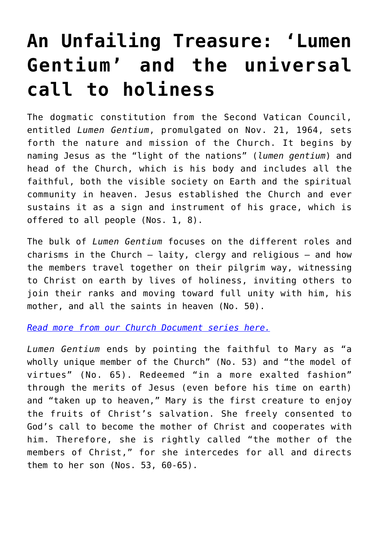## **[An Unfailing Treasure: 'Lumen](https://www.osvnews.com/2022/06/06/an-unfailing-treasure-lumen-gentium-and-the-universal-call-to-holiness/) [Gentium' and the universal](https://www.osvnews.com/2022/06/06/an-unfailing-treasure-lumen-gentium-and-the-universal-call-to-holiness/) [call to holiness](https://www.osvnews.com/2022/06/06/an-unfailing-treasure-lumen-gentium-and-the-universal-call-to-holiness/)**

The dogmatic constitution from the Second Vatican Council, entitled *Lumen Gentium*, promulgated on Nov. 21, 1964, sets forth the nature and mission of the Church. It begins by naming Jesus as the "light of the nations" (*lumen gentium*) and head of the Church, which is his body and includes all the faithful, both the visible society on Earth and the spiritual community in heaven. Jesus established the Church and ever sustains it as a sign and instrument of his grace, which is offered to all people (Nos. 1, 8).

The bulk of *Lumen Gentium* focuses on the different roles and charisms in the Church — laity, clergy and religious — and how the members travel together on their pilgrim way, witnessing to Christ on earth by lives of holiness, inviting others to join their ranks and moving toward full unity with him, his mother, and all the saints in heaven (No. 50).

*[Read more from our Church Document series here.](https://www.osvnews.com/tag/church-document-series/)*

*Lumen Gentium* ends by pointing the faithful to Mary as "a wholly unique member of the Church" (No. 53) and "the model of virtues" (No. 65). Redeemed "in a more exalted fashion" through the merits of Jesus (even before his time on earth) and "taken up to heaven," Mary is the first creature to enjoy the fruits of Christ's salvation. She freely consented to God's call to become the mother of Christ and cooperates with him. Therefore, she is rightly called "the mother of the members of Christ," for she intercedes for all and directs them to her son (Nos. 53, 60-65).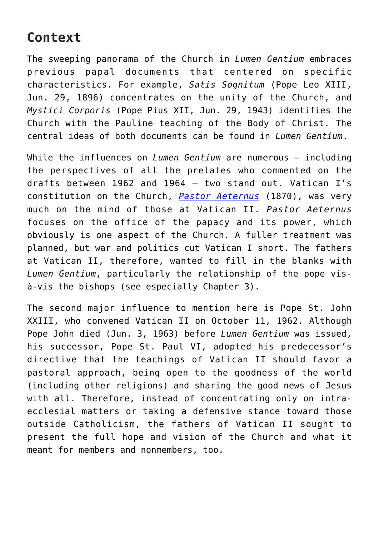## **Context**

The sweeping panorama of the Church in *Lumen Gentium* embraces previous papal documents that centered on specific characteristics. For example, *Satis Sognitum* (Pope Leo XIII, Jun. 29, 1896) concentrates on the unity of the Church, and *Mystici Corporis* (Pope Pius XII, Jun. 29, 1943) identifies the Church with the Pauline teaching of the Body of Christ. The central ideas of both documents can be found in *Lumen Gentium*.

While the influences on *Lumen Gentium* are numerous — including the perspectives of all the prelates who commented on the drafts between 1962 and 1964 — two stand out. Vatican I's constitution on the Church, *[Pastor Aeternus](https://www.osvnews.com/2022/02/07/an-unfailing-treasure-pastor-aeternus-and-defining-papal-infallibility/)* (1870), was very much on the mind of those at Vatican II. *Pastor Aeternus* focuses on the office of the papacy and its power, which obviously is one aspect of the Church. A fuller treatment was planned, but war and politics cut Vatican I short. The fathers at Vatican II, therefore, wanted to fill in the blanks with *Lumen Gentium*, particularly the relationship of the pope visà-vis the bishops (see especially Chapter 3).

The second major influence to mention here is Pope St. John XXIII, who convened Vatican II on October 11, 1962. Although Pope John died (Jun. 3, 1963) before *Lumen Gentium* was issued, his successor, Pope St. Paul VI, adopted his predecessor's directive that the teachings of Vatican II should favor a pastoral approach, being open to the goodness of the world (including other religions) and sharing the good news of Jesus with all. Therefore, instead of concentrating only on intraecclesial matters or taking a defensive stance toward those outside Catholicism, the fathers of Vatican II sought to present the full hope and vision of the Church and what it meant for members and nonmembers, too.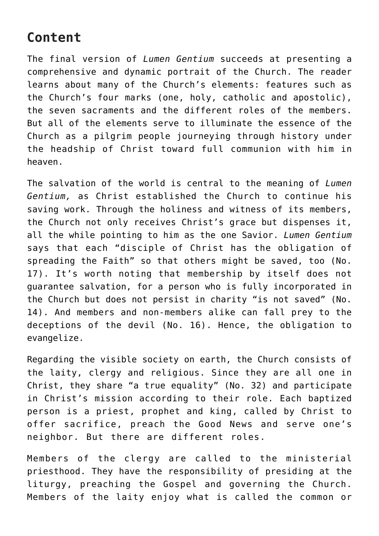## **Content**

The final version of *Lumen Gentium* succeeds at presenting a comprehensive and dynamic portrait of the Church. The reader learns about many of the Church's elements: features such as the Church's four marks (one, holy, catholic and apostolic), the seven sacraments and the different roles of the members. But all of the elements serve to illuminate the essence of the Church as a pilgrim people journeying through history under the headship of Christ toward full communion with him in heaven.

The salvation of the world is central to the meaning of *Lumen Gentium,* as Christ established the Church to continue his saving work. Through the holiness and witness of its members, the Church not only receives Christ's grace but dispenses it, all the while pointing to him as the one Savior. *Lumen Gentium* says that each "disciple of Christ has the obligation of spreading the Faith" so that others might be saved, too (No. 17). It's worth noting that membership by itself does not guarantee salvation, for a person who is fully incorporated in the Church but does not persist in charity "is not saved" (No. 14). And members and non-members alike can fall prey to the deceptions of the devil (No. 16). Hence, the obligation to evangelize.

Regarding the visible society on earth, the Church consists of the laity, clergy and religious. Since they are all one in Christ, they share "a true equality" (No. 32) and participate in Christ's mission according to their role. Each baptized person is a priest, prophet and king, called by Christ to offer sacrifice, preach the Good News and serve one's neighbor. But there are different roles.

Members of the clergy are called to the ministerial priesthood. They have the responsibility of presiding at the liturgy, preaching the Gospel and governing the Church. Members of the laity enjoy what is called the common or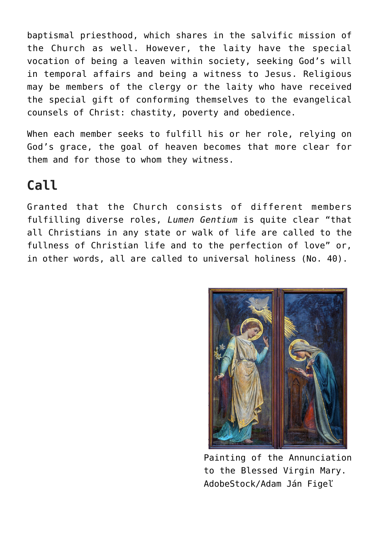baptismal priesthood, which shares in the salvific mission of the Church as well. However, the laity have the special vocation of being a leaven within society, seeking God's will in temporal affairs and being a witness to Jesus. Religious may be members of the clergy or the laity who have received the special gift of conforming themselves to the evangelical counsels of Christ: chastity, poverty and obedience.

When each member seeks to fulfill his or her role, relying on God's grace, the goal of heaven becomes that more clear for them and for those to whom they witness.

## **Call**

Granted that the Church consists of different members fulfilling diverse roles, *Lumen Gentium* is quite clear "that all Christians in any state or walk of life are called to the fullness of Christian life and to the perfection of love" or, in other words, all are called to universal holiness (No. 40).



Painting of the Annunciation to the Blessed Virgin Mary. AdobeStock/Adam Ján Figeľ